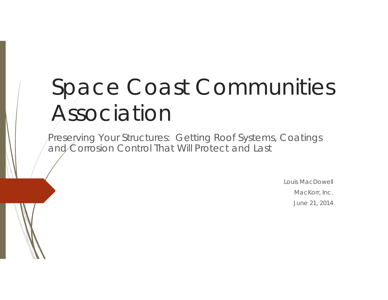# Space Coast Communities Association

Preserving Your Structures: Getting Roof Systems, Coatings and Corrosion Control That Will Protect and Last

> Louis MacDowellMacKorr, Inc. June 21, 2014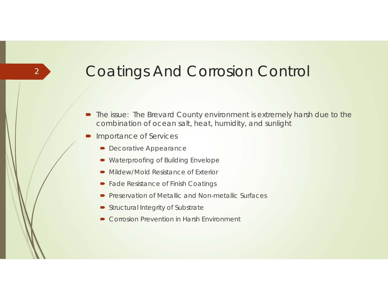## Coatings And Corrosion Control

- The issue: The Brevard County environment is extremely harsh due to the combination of ocean salt, heat, humidity, and sunlight
- $\blacksquare$  Importance of Services
	- **Decorative Appearance**
	- Waterproofing of Building Envelope
	- Mildew/Mold Resistance of Exterior
	- Fade Resistance of Finish Coatings
	- $\blacksquare$ Preservation of Metallic and Non-metallic Surfaces
	- Structural Integrity of Substrate
	- Corrosion Prevention in Harsh Environment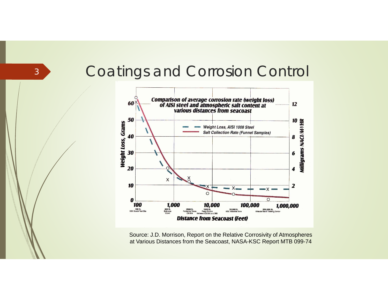#### Coatings and Corrosion Control



Source: J.D. Morrison, Report on the Relative Corrosivity of Atmospheres at Various Distances from the Seacoast, NASA-KSC Report MTB 099-74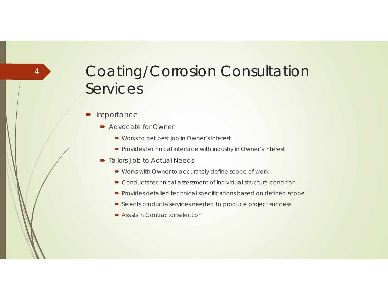$\blacksquare$ Importance

- Advocate for Owner
	- Works to get best job in Owner's interest
	- **Provides technical interface with industry in Owner's interest**
- Tailors Job to Actual Needs
	- Works with Owner to accurately define scope of work
	- Conducts technical assessment of individual structure condition
	- **•** Provides detailed technical specifications based on defined scope
	- Selects products/services needed to produce project success
	- Assists in Contractor selection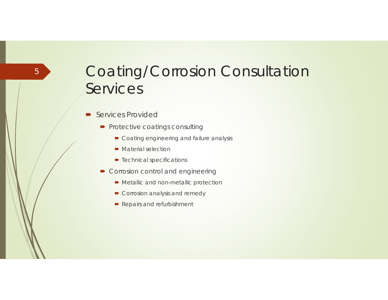- $\blacksquare$  Services Provided
	- Protective coatings consulting
		- Coating engineering and failure analysis
		- Material selection
		- **■** Technical specifications
	- **Corrosion control and engineering** 
		- **Metallic and non-metallic protection**
		- **►** Corrosion analysis and remedy
		- **•** Repairs and refurbishment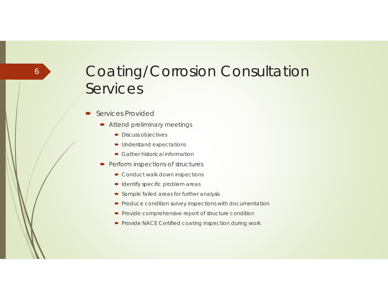- $\blacksquare$  Services Provided
	- Attend preliminary meetings
		- **Discuss objectives**
		- Understand expectations
		- Gather historical information
	- **Perform inspections of structures** 
		- Conduct walk down inspections
		- Identify specific problem areas
		- Sample failed areas for further analysis
		- $\blacktriangleright$  Produce condition survey inspections with documentation
		- **•** Provide comprehensive report of structure condition
		- Provide NACE Certified coating inspection during work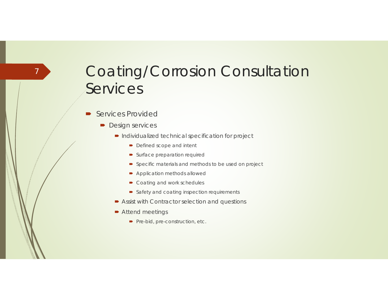D Services Provided

- **Design services** 
	- **Individualized technical specification for project** 
		- Defined scope and intent
		- Surface preparation required
		- Specific materials and methods to be used on project
		- Application methods allowed
		- Coating and work schedules
		- **Safety and coating inspection requirements**
	- **Assist with Contractor selection and questions**
	- Attend meetings
		- Pre-bid, pre-construction, etc.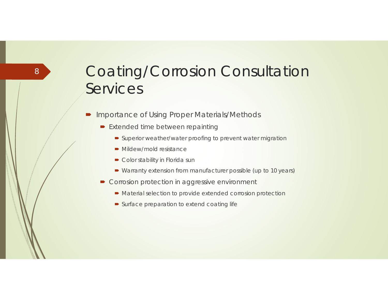- $\blacksquare$  Importance of Using Proper Materials/Methods
	- **Extended time between repainting** 
		- Superior weather/water proofing to prevent water migration
		- Mildew/mold resistance
		- **►** Color stability in Florida sun
		- Warranty extension from manufacturer possible (up to 10 years)
	- Corrosion protection in aggressive environment
		- Material selection to provide extended corrosion protection
		- Surface preparation to extend coating life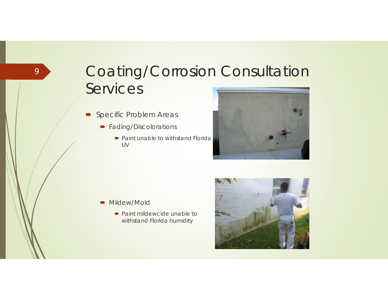- **•** Specific Problem Areas
	- **•** Fading/Discolorations
		- Paint unable to withstand Florida UV



- Mildew/Mold
	- Paint mildewcide unable to withstand Florida humidity

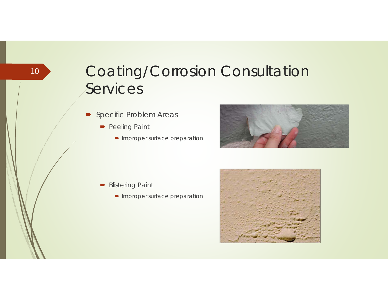- **•** Specific Problem Areas
	- **Peeling Paint**

10

• Improper surface preparation



- **Blistering Paint** 
	- **Improper surface preparation**

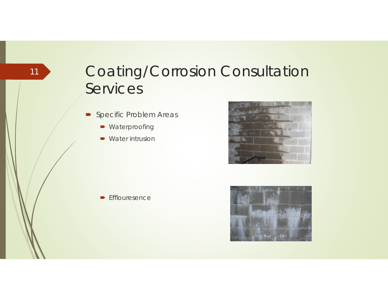- **•** Specific Problem Areas
	- Waterproofing
	- Water intrusion



 $\blacktriangleright$  Efflouresence

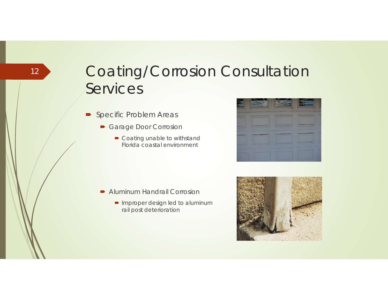- **•** Specific Problem Areas
	- Garage Door Corrosion
		- Coating unable to withstand Florida coastal environment



- Aluminum Handrail Corrosion
	- Improper design led to aluminum rail post deterioration